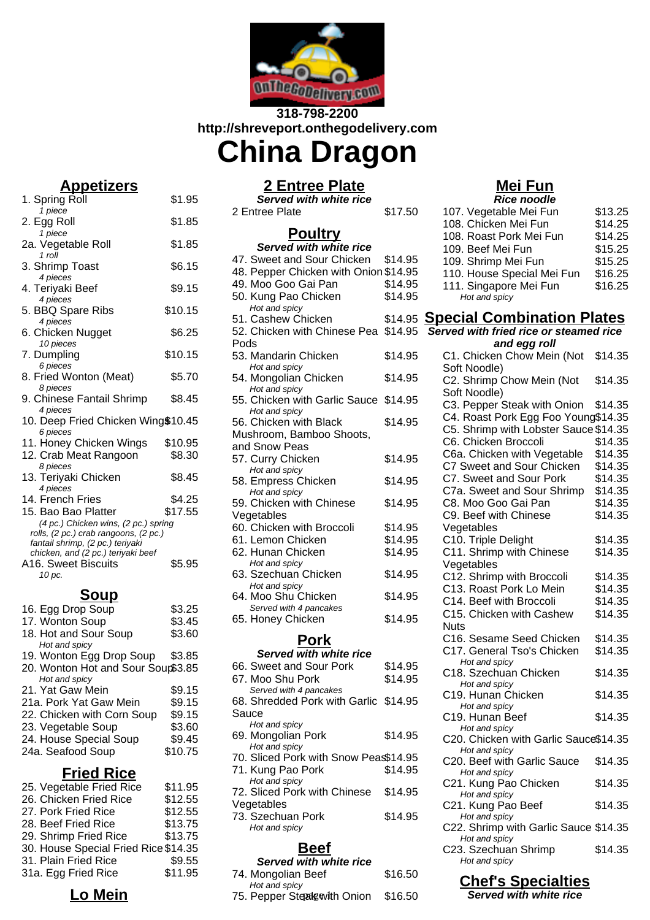

### **318-798-2200 http://shreveport.onthegodelivery.com**

# **China Dragon**

### **Appetizers**

1. Spring Roll \$1.95 1 piece 2. Egg Roll \$1.85 1 piece 2a. Vegetable Roll \$1.85 1  $ro\bar{l}l$ 3. Shrimp Toast \$6.15 4 pieces 4. Terivaki Beef \$9.15 4 pieces 5. BBQ Spare Ribs \$10.15 4 pieces 6. Chicken Nugget \$6.25 10 pieces 7. Dumpling \$10.15 6 pieces 8. Fried Wonton (Meat) \$5.70 8 pieces 9. Chinese Fantail Shrimp \$8.45 4 pieces 10. Deep Fried Chicken Wing\$10.45 6 pieces 11. Honey Chicken Wings \$10.95 12. Crab Meat Rangoon \$8.30 8 pieces 13. Teriyaki Chicken \$8.45 4 pieces 14. French Fries \$4.25 15. Bao Bao Platter \$17.55 (4 pc.) Chicken wins, (2 pc.) spring rolls,  $(2 \text{ pc.})$  crab rangoons,  $(2 \text{ pc.})$ fantail shrimp, (2 pc.) teriyaki chicken, and (2 pc.) teriyaki beef A16. Sweet Biscuits \$5.95  $10 \text{ pc}$ . **Soup**

| 16. Egg Drop Soup                  | \$3.25  |
|------------------------------------|---------|
| 17. Wonton Soup                    | \$3.45  |
| 18. Hot and Sour Soup              | \$3.60  |
| Hot and spicy                      |         |
| 19. Wonton Egg Drop Soup           | \$3.85  |
| 20. Wonton Hot and Sour Soup\$3.85 |         |
| Hot and spicy                      |         |
| 21. Yat Gaw Mein                   | \$9.15  |
| 21a. Pork Yat Gaw Mein             | \$9.15  |
| 22. Chicken with Corn Soup         | \$9.15  |
| 23. Vegetable Soup                 | \$3.60  |
| 24. House Special Soup             | \$9.45  |
| 24a. Seafood Soup                  | \$10.75 |
|                                    |         |

### **Fried Rice**

| 25. Vegetable Fried Rice             | \$11.95 |
|--------------------------------------|---------|
| 26. Chicken Fried Rice               | \$12.55 |
| 27. Pork Fried Rice                  | \$12.55 |
| 28. Beef Fried Rice                  | \$13.75 |
| 29. Shrimp Fried Rice                | \$13.75 |
| 30. House Special Fried Rice \$14.35 |         |
| 31. Plain Fried Rice                 | \$9.55  |
| 31a. Egg Fried Rice                  | \$11.95 |
|                                      |         |

### **Lo Mein**

### **2 Entree Plate**

**Served with white rice** 2 Entree Plate \$17.50

## **Poultry**

| Served with white rice                         |         |  |
|------------------------------------------------|---------|--|
| 47. Sweet and Sour Chicken                     | \$14.95 |  |
| 48. Pepper Chicken with Onion \$14.95          |         |  |
| 49. Moo Goo Gai Pan                            | \$14.95 |  |
| 50. Kung Pao Chicken                           | \$14.95 |  |
| Hot and spicy                                  |         |  |
| 51. Cashew Chicken                             | \$14.95 |  |
| 52. Chicken with Chinese Pea \$14.95           |         |  |
| Pods                                           |         |  |
| 53. Mandarin Chicken                           | \$14.95 |  |
| Hot and spicy                                  |         |  |
| 54. Mongolian Chicken                          | \$14.95 |  |
| Hot and spicy<br>55. Chicken with Garlic Sauce | \$14.95 |  |
| Hot and spicy                                  |         |  |
| 56. Chicken with Black                         | \$14.95 |  |
| Mushroom, Bamboo Shoots,                       |         |  |
| and Snow Peas                                  |         |  |
| 57. Curry Chicken                              | \$14.95 |  |
| Hot and spicy                                  |         |  |
| 58. Empress Chicken                            | \$14.95 |  |
| Hot and spicy                                  |         |  |
| 59. Chicken with Chinese                       | \$14.95 |  |
| Vegetables                                     |         |  |
| 60. Chicken with Broccoli                      | \$14.95 |  |
| 61. Lemon Chicken                              | \$14.95 |  |
| 62. Hunan Chicken                              | \$14.95 |  |
| Hot and spicy                                  |         |  |
| 63. Szechuan Chicken<br>Hot and spicy          | \$14.95 |  |
| 64. Moo Shu Chicken                            | \$14.95 |  |
| Served with 4 pancakes                         |         |  |
| 65. Honey Chicken                              | \$14.95 |  |
| Pork                                           |         |  |
| <b>Served with white rice</b>                  |         |  |
| 66. Sweet and Sour Pork                        | \$14.95 |  |

| 66. Sweet and Sour Pork               | \$14.95 |
|---------------------------------------|---------|
| 67. Moo Shu Pork                      | \$14.95 |
| Served with 4 pancakes                |         |
| 68. Shredded Pork with Garlic \$14.95 |         |
| Sauce                                 |         |
| Hot and spicy                         |         |
| 69. Mongolian Pork                    | \$14.95 |
| Hot and spicy                         |         |
| 70. Sliced Pork with Snow Peas\$14.95 |         |
| 71. Kung Pao Pork                     | \$14.95 |
| Hot and spicy                         |         |
| 72. Sliced Pork with Chinese          | \$14.95 |
| Vegetables                            |         |
| 73. Szechuan Pork                     | \$14.95 |
| Hot and spicy                         |         |
|                                       |         |

### **Beef**

| Served with white rice      |         |
|-----------------------------|---------|
| 74. Mongolian Beef          | \$16.50 |
| Hot and spicy               |         |
| 75. Pepper Steatewith Onion | \$16.50 |

### **Mei Fun**

| \$13.25 |
|---------|
| \$14.25 |
| \$14.25 |
| \$15.25 |
| \$15.25 |
| \$16.25 |
| \$16.25 |
|         |

#### **Special Combination Plates**

#### **Served with fried rice or steamed rice and egg roll**

| anu egg ron                                |         |
|--------------------------------------------|---------|
| C1. Chicken Chow Mein (Not<br>Soft Noodle) | \$14.35 |
| C2. Shrimp Chow Mein (Not                  | \$14.35 |
| Soft Noodle)                               |         |
| C3. Pepper Steak with Onion                | \$14.35 |
| C4. Roast Pork Egg Foo Young\$14.35        |         |
| C5. Shrimp with Lobster Sauce \$14.35      |         |
| C6. Chicken Broccoli                       | \$14.35 |
| C6a. Chicken with Vegetable                | \$14.35 |
|                                            |         |
| C7 Sweet and Sour Chicken                  | \$14.35 |
| C7. Sweet and Sour Pork                    | \$14.35 |
| C7a. Sweet and Sour Shrimp                 | \$14.35 |
| C8. Moo Goo Gai Pan                        | \$14.35 |
| C9. Beef with Chinese                      | \$14.35 |
| Vegetables                                 |         |
| C10. Triple Delight                        | \$14.35 |
|                                            |         |
| C11. Shrimp with Chinese                   | \$14.35 |
| Vegetables                                 |         |
| C12. Shrimp with Broccoli                  | \$14.35 |
| C13. Roast Pork Lo Mein                    | \$14.35 |
| C14. Beef with Broccoli                    | \$14.35 |
| C15. Chicken with Cashew                   | \$14.35 |
| <b>Nuts</b>                                |         |
| C16. Sesame Seed Chicken                   | \$14.35 |
| C17. General Tso's Chicken                 | \$14.35 |
| Hot and spicy                              |         |
| C18. Szechuan Chicken                      | \$14.35 |
| Hot and spicy                              |         |
| C19. Hunan Chicken                         | \$14.35 |
| Hot and spicy                              |         |
| C19. Hunan Beef                            | \$14.35 |
| Hot and spicy                              |         |
| C20. Chicken with Garlic Sauce\$14.35      |         |
| Hot and spicy                              |         |
| C20. Beef with Garlic Sauce                | \$14.35 |
| Hot and spicy                              |         |
| C21. Kung Pao Chicken                      | \$14.35 |
|                                            |         |
| Hot and spicy                              |         |
| C21. Kung Pao Beef                         | \$14.35 |
| Hot and spicy                              |         |
| C22. Shrimp with Garlic Sauce \$14.35      |         |
| Hot and spicy                              |         |
| C23. Szechuan Shrimp                       | \$14.35 |
| Hot and spicy                              |         |

### **Chef's Specialties**

**Served with white rice**